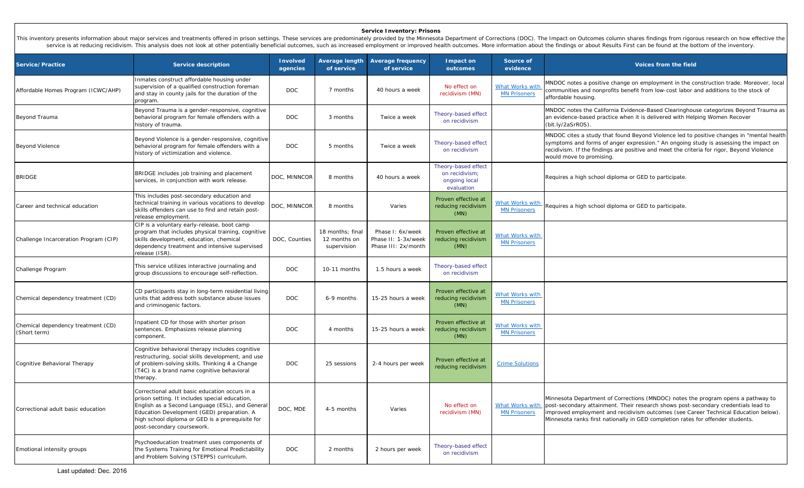## **Service Inventory: Prisons**

This inventory presents information about major services and treatments offered in prison settings. These services are predominately provided by the Minnesota Department of Corrections (DOC). The Impact on Outcomes column service is at reducing recidivism. This analysis does not look at other potentially beneficial outcomes, such as increased employment or improved health outcomes. More information about the findings or about Results First

| Service/Practice                                   | <b>Service description</b>                                                                                                                                                                                                                                                          | <b>Involved</b><br>agencies | <b>Average length</b><br>of service             | <b>Average frequency</b><br>of service                         | Impact on<br>outcomes                                                | Source of<br>evidence                         | Voices from the field                                                                                                                                                                                                                                                                                                                            |
|----------------------------------------------------|-------------------------------------------------------------------------------------------------------------------------------------------------------------------------------------------------------------------------------------------------------------------------------------|-----------------------------|-------------------------------------------------|----------------------------------------------------------------|----------------------------------------------------------------------|-----------------------------------------------|--------------------------------------------------------------------------------------------------------------------------------------------------------------------------------------------------------------------------------------------------------------------------------------------------------------------------------------------------|
| Affordable Homes Program (ICWC/AHP)                | Inmates construct affordable housing under<br>supervision of a qualified construction foreman<br>and stay in county jails for the duration of the<br>program.                                                                                                                       | <b>DOC</b>                  | 7 months                                        | 40 hours a week                                                | No effect on<br>recidivism (MN)                                      | What Works with<br><b>MN Prisoners</b>        | MNDOC notes a positive change on employment in the construction trade. Moreover, local<br>communities and nonprofits benefit from low-cost labor and additions to the stock of<br>affordable housing                                                                                                                                             |
| Beyond Trauma                                      | Beyond Trauma is a gender-responsive, cognitive<br>behavioral program for female offenders with a<br>history of trauma.                                                                                                                                                             | <b>DOC</b>                  | 3 months                                        | Twice a week                                                   | Theory-based effect<br>on recidivism                                 |                                               | MNDOC notes the California Evidence-Based Clearinghouse categorizes Beyond Trauma as<br>an evidence-based practice when it is delivered with Helping Women Recover<br>(bit.ly/2aSrROS).                                                                                                                                                          |
| <b>Beyond Violence</b>                             | Beyond Violence is a gender-responsive, cognitive<br>behavioral program for female offenders with a<br>history of victimization and violence.                                                                                                                                       | <b>DOC</b>                  | 5 months                                        | Twice a week                                                   | Theory-based effect<br>on recidivism                                 |                                               | MNDOC cites a study that found Beyond Violence led to positive changes in "mental health<br>symptoms and forms of anger expression." An ongoing study is assessing the impact on<br>recidivism. If the findings are positive and meet the criteria for rigor, Beyond Violence<br>would move to promising.                                        |
| <b>BRIDGE</b>                                      | BRIDGE includes job training and placement<br>services, in conjunction with work release.                                                                                                                                                                                           | DOC, MINNCOR                | 8 months                                        | 40 hours a week                                                | Theory-based effect<br>on recidivism;<br>ongoing local<br>evaluation |                                               | Requires a high school diploma or GED to participate.                                                                                                                                                                                                                                                                                            |
| Career and technical education                     | This includes post-secondary education and<br>technical training in various vocations to develop<br>skills offenders can use to find and retain post-<br>release employment.                                                                                                        | DOC, MINNCOR                | 8 months                                        | Varies                                                         | Proven effective at<br>reducing recidivism<br>(MN)                   | What Works with<br><b>MN Prisoners</b>        | Requires a high school diploma or GED to participate.                                                                                                                                                                                                                                                                                            |
| Challenge Incarceration Program (CIP)              | CIP is a voluntary early-release, boot camp<br>program that includes physical training, cognitive<br>skills development, education, chemical<br>dependency treatment and intensive supervised<br>release (ISR)                                                                      | DOC, Counties               | 18 months; final<br>12 months on<br>supervision | Phase I: 6x/week<br>Phase II: 1-3x/week<br>Phase III: 2x/month | Proven effective at<br>reducing recidivism<br>(MN)                   | <u>What Works with</u><br><b>MN Prisoners</b> |                                                                                                                                                                                                                                                                                                                                                  |
| Challenge Program                                  | This service utilizes interactive journaling and<br>group discussions to encourage self-reflection.                                                                                                                                                                                 | <b>DOC</b>                  | 10-11 months                                    | 1.5 hours a week                                               | Theory-based effect<br>on recidivism                                 |                                               |                                                                                                                                                                                                                                                                                                                                                  |
| Chemical dependency treatment (CD)                 | CD participants stay in long-term residential living<br>units that address both substance abuse issues<br>and criminogenic factors.                                                                                                                                                 | <b>DOC</b>                  | 6-9 months                                      | 15-25 hours a week                                             | Proven effective at<br>reducing recidivism<br>(MN)                   | <b>What Works with</b><br><b>MN Prisoners</b> |                                                                                                                                                                                                                                                                                                                                                  |
| Chemical dependency treatment (CD)<br>(Short term) | Inpatient CD for those with shorter prison<br>sentences. Emphasizes release planning<br>component.                                                                                                                                                                                  | <b>DOC</b>                  | 4 months                                        | 15-25 hours a week                                             | Proven effective at<br>reducing recidivism<br>(MN)                   | What Works with<br><b>MN Prisoners</b>        |                                                                                                                                                                                                                                                                                                                                                  |
| Cognitive Behavioral Therapy                       | Cognitive behavioral therapy includes cognitive<br>restructuring, social skills development, and use<br>of problem-solving skills. Thinking 4 a Change<br>(T4C) is a brand name cognitive behavioral<br>therapy.                                                                    | <b>DOC</b>                  | 25 sessions                                     | 2-4 hours per week                                             | Proven effective at<br>reducing recidivism                           | <b>Crime Solutions</b>                        |                                                                                                                                                                                                                                                                                                                                                  |
| Correctional adult basic education                 | Correctional adult basic education occurs in a<br>prison setting. It includes special education,<br>English as a Second Language (ESL), and General<br>Education Development (GED) preparation. A<br>high school diploma or GED is a prerequisite for<br>post-secondary coursework. | DOC, MDE                    | 4-5 months                                      | Varies                                                         | No effect on<br>recidivism (MN)                                      | <b>What Works with</b><br><b>MN Prisoners</b> | Minnesota Department of Corrections (MNDOC) notes the program opens a pathway to<br>post-secondary attainment. Their research shows post-secondary credentials lead to<br>improved employment and recidivism outcomes (see Career Technical Education below).<br>Minnesota ranks first nationally in GED completion rates for offender students. |
| Emotional intensity groups                         | Psychoeducation treatment uses components of<br>the Systems Training for Emotional Predictability<br>and Problem Solving (STEPPS) curriculum.                                                                                                                                       | <b>DOC</b>                  | 2 months                                        | 2 hours per week                                               | Theory-based effect<br>on recidivism                                 |                                               |                                                                                                                                                                                                                                                                                                                                                  |

Last updated: Dec. 2016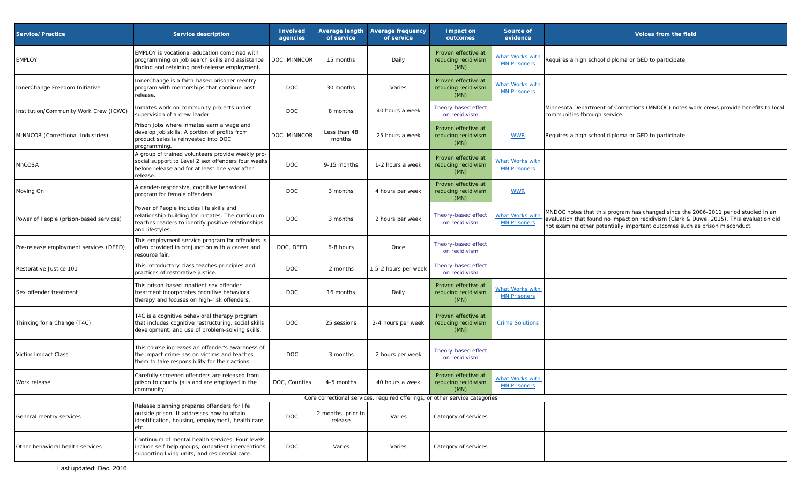| Service/Practice                        | <b>Service description</b>                                                                                                                                             | <b>Involved</b><br>agencies | <b>Average length</b><br>of service | <b>Average frequency</b><br>of service                                      | Impact on<br>outcomes                              | Source of<br>evidence                         | Voices from the field                                                                                                                                                                                                                                        |
|-----------------------------------------|------------------------------------------------------------------------------------------------------------------------------------------------------------------------|-----------------------------|-------------------------------------|-----------------------------------------------------------------------------|----------------------------------------------------|-----------------------------------------------|--------------------------------------------------------------------------------------------------------------------------------------------------------------------------------------------------------------------------------------------------------------|
| <b>EMPLOY</b>                           | EMPLOY is vocational education combined with<br>programming on job search skills and assistance<br>finding and retaining post-release employment.                      | DOC, MINNCOR                | 15 months                           | Daily                                                                       | Proven effective at<br>reducing recidivism<br>(MN) | <b>What Works with</b><br><b>MN Prisoners</b> | Requires a high school diploma or GED to participate.                                                                                                                                                                                                        |
| InnerChange Freedom Initiative          | InnerChange is a faith-based prisoner reentry<br>program with mentorships that continue post-<br>release.                                                              | DOC                         | 30 months                           | Varies                                                                      | Proven effective at<br>reducing recidivism<br>(MN) | What Works with<br><b>MN Prisoners</b>        |                                                                                                                                                                                                                                                              |
| Institution/Community Work Crew (ICWC)  | Inmates work on community projects under<br>supervision of a crew leader.                                                                                              | DOC                         | 8 months                            | 40 hours a week                                                             | Theory-based effect<br>on recidivism               |                                               | Minnesota Department of Corrections (MNDOC) notes work crews provide benefits to local<br>communities through service.                                                                                                                                       |
| MINNCOR (Correctional Industries)       | Prison jobs where inmates earn a wage and<br>develop job skills. A portion of profits from<br>product sales is reinvested into DOC<br>programming.                     | DOC, MINNCOR                | Less than 48<br>months              | 25 hours a week                                                             | Proven effective at<br>reducing recidivism<br>(MN) | <b>WWR</b>                                    | Requires a high school diploma or GED to participate.                                                                                                                                                                                                        |
| MnCOSA                                  | A group of trained volunteers provide weekly pro-<br>social support to Level 2 sex offenders four weeks<br>before release and for at least one year after<br>release.  | <b>DOC</b>                  | 9-15 months                         | 1-2 hours a week                                                            | Proven effective at<br>reducing recidivism<br>(MN) | What Works with<br><b>MN Prisoners</b>        |                                                                                                                                                                                                                                                              |
| Moving On                               | A gender-responsive, cognitive behavioral<br>program for female offenders.                                                                                             | <b>DOC</b>                  | 3 months                            | 4 hours per week                                                            | Proven effective at<br>reducing recidivism<br>(MN) | <b>WWR</b>                                    |                                                                                                                                                                                                                                                              |
| Power of People (prison-based services) | Power of People includes life skills and<br>relationship-building for inmates. The curriculum<br>teaches readers to identify positive relationships<br>and lifestyles. | <b>DOC</b>                  | 3 months                            | 2 hours per week                                                            | Theory-based effect<br>on recidivism               | <b>What Works with</b><br><b>MN Prisoners</b> | MNDOC notes that this program has changed since the 2006-2011 period studied in an<br>evaluation that found no impact on recidivism (Clark & Duwe, 2015). This evaluation did<br>not examine other potentially important outcomes such as prison misconduct. |
| Pre-release employment services (DEED)  | This employment service program for offenders is<br>often provided in conjunction with a career and<br>resource fair.                                                  | DOC, DEED                   | 6-8 hours                           | Once                                                                        | Theory-based effect<br>on recidivism               |                                               |                                                                                                                                                                                                                                                              |
| Restorative Justice 101                 | This introductory class teaches principles and<br>practices of restorative justice.                                                                                    | <b>DOC</b>                  | 2 months                            | 1.5-2 hours per week                                                        | Theory-based effect<br>on recidivism               |                                               |                                                                                                                                                                                                                                                              |
| Sex offender treatment                  | This prison-based inpatient sex offender<br>treatment incorporates cognitive behavioral<br>therapy and focuses on high-risk offenders.                                 | <b>DOC</b>                  | 16 months                           | Daily                                                                       | Proven effective at<br>reducing recidivism<br>(MN) | What Works with<br><b>MN Prisoners</b>        |                                                                                                                                                                                                                                                              |
| Thinking for a Change (T4C)             | T4C is a cognitive behavioral therapy program<br>that includes cognitive restructuring, social skills<br>development, and use of problem-solving skills.               | <b>DOC</b>                  | 25 sessions                         | 2-4 hours per week                                                          | Proven effective at<br>reducing recidivism<br>(MN) | <b>Crime Solutions</b>                        |                                                                                                                                                                                                                                                              |
| Victim Impact Class                     | This course increases an offender's awareness of<br>the impact crime has on victims and teaches<br>them to take responsibility for their actions.                      | <b>DOC</b>                  | 3 months                            | 2 hours per week                                                            | Theory-based effect<br>on recidivism               |                                               |                                                                                                                                                                                                                                                              |
| Work release                            | Carefully screened offenders are released from<br>prison to county jails and are employed in the<br>community.                                                         | DOC, Counties               | 4-5 months                          | 40 hours a week                                                             | Proven effective at<br>reducing recidivism<br>(MN) | What Works with<br><b>MN Prisoners</b>        |                                                                                                                                                                                                                                                              |
|                                         |                                                                                                                                                                        |                             |                                     | Core correctional services, required offerings, or other service categories |                                                    |                                               |                                                                                                                                                                                                                                                              |
| General reentry services                | Release planning prepares offenders for life<br>outside prison. It addresses how to attain<br>identification, housing, employment, health care,<br>etc.                | <b>DOC</b>                  | 2 months, prior to<br>release       | Varies                                                                      | Category of services                               |                                               |                                                                                                                                                                                                                                                              |
| Other behavioral health services        | Continuum of mental health services. Four levels<br>include self-help groups, outpatient interventions,<br>supporting living units, and residential care.              | <b>DOC</b>                  | Varies                              | Varies                                                                      | Category of services                               |                                               |                                                                                                                                                                                                                                                              |